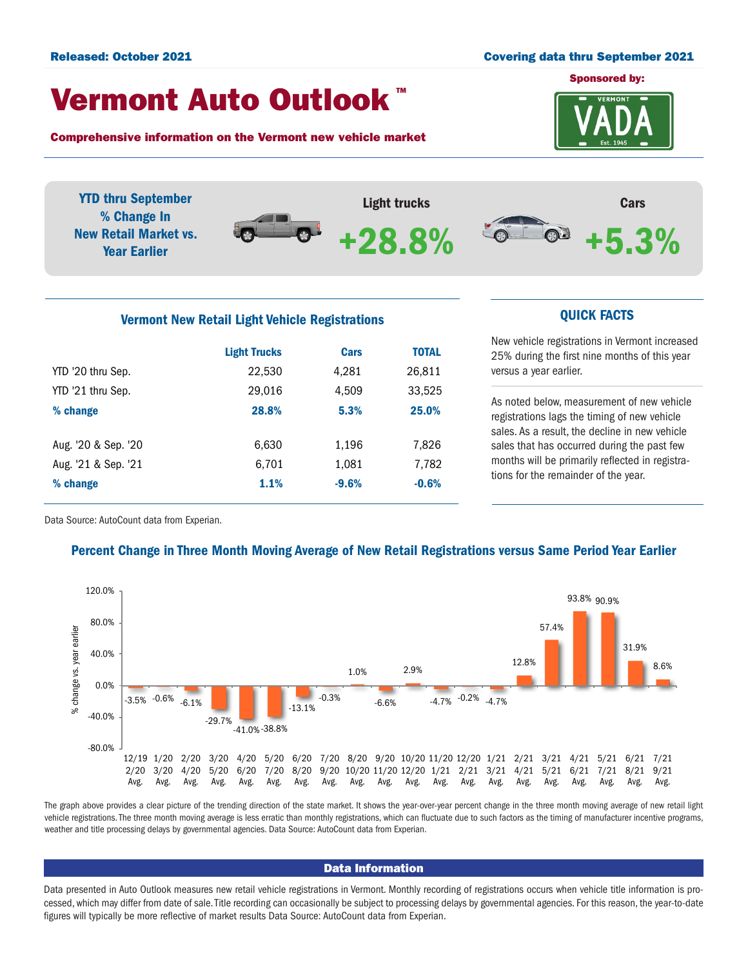#### Released: October 2021 Covering data thru September 2021

## Vermont Auto Outlook TM

Comprehensive information on the Vermont new vehicle market



YTD thru September Light trucks Cars % Change In  $\bullet$ . +5.3% New Retail Market vs. +28.8% $\odot$ Year Earlier

# Vermont New Retail Light Vehicle Registrations **CUICK FACTS**

|                     | <b>Light Trucks</b> | <b>Cars</b> | <b>TOTAL</b> |  |
|---------------------|---------------------|-------------|--------------|--|
| YTD '20 thru Sep.   | 22,530              | 4,281       | 26,811       |  |
| YTD '21 thru Sep.   | 29,016              | 4,509       | 33,525       |  |
| % change            | 28.8%               | 5.3%        | 25.0%        |  |
|                     |                     |             |              |  |
| Aug. '20 & Sep. '20 | 6,630               | 1,196       | 7,826        |  |
| Aug. '21 & Sep. '21 | 6.701               | 1,081       | 7,782        |  |
| % change            | 1.1%                | $-9.6%$     | $-0.6%$      |  |
|                     |                     |             |              |  |

New vehicle registrations in Vermont increased 25% during the first nine months of this year versus a year earlier.

As noted below, measurement of new vehicle registrations lags the timing of new vehicle sales. As a result, the decline in new vehicle sales that has occurred during the past few months will be primarily reflected in registrations for the remainder of the year.

Data Source: AutoCount data from Experian.

### Percent Change in Three Month Moving Average of New Retail Registrations versus Same Period Year Earlier



The graph above provides a clear picture of the trending direction of the state market. It shows the year-over-year percent change in the three month moving average of new retail light vehicle registrations. The three month moving average is less erratic than monthly registrations, which can fluctuate due to such factors as the timing of manufacturer incentive programs, weather and title processing delays by governmental agencies. Data Source: AutoCount data from Experian.

#### Data Information

Data presented in Auto Outlook measures new retail vehicle registrations in Vermont. Monthly recording of registrations occurs when vehicle title information is processed, which may differ from date of sale. Title recording can occasionally be subject to processing delays by governmental agencies. For this reason, the year-to-date figures will typically be more reflective of market results Data Source: AutoCount data from Experian.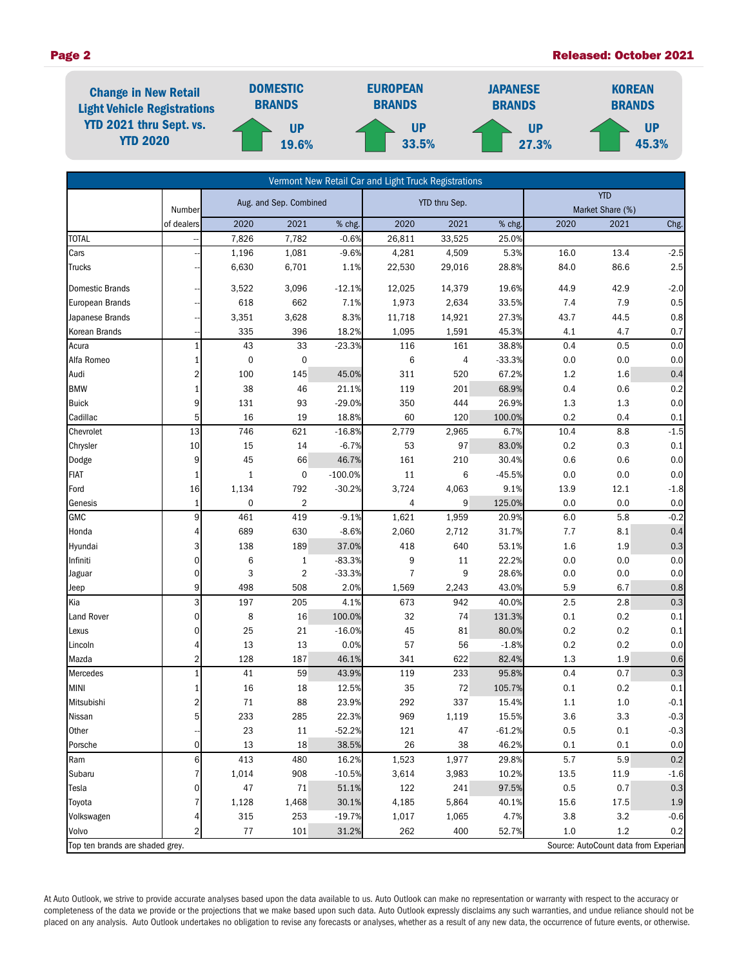#### Page 2 Released: October 2021



| Vermont New Retail Car and Light Truck Registrations                    |                      |                        |                |               |                |              |          |       |                          |         |
|-------------------------------------------------------------------------|----------------------|------------------------|----------------|---------------|----------------|--------------|----------|-------|--------------------------|---------|
|                                                                         |                      | Aug. and Sep. Combined |                | YTD thru Sep. |                | <b>YTD</b>   |          |       |                          |         |
|                                                                         | Number<br>of dealers | 2020                   | 2021           | % chg.        | 2020           | 2021         | % chg.   | 2020  | Market Share (%)<br>2021 | Chg.    |
| <b>TOTAL</b>                                                            |                      | 7,826                  | 7,782          | $-0.6%$       | 26,811         | 33,525       | 25.0%    |       |                          |         |
| Cars                                                                    |                      | 1,196                  | 1,081          | $-9.6%$       | 4,281          | 4,509        | 5.3%     | 16.0  | 13.4                     | $-2.5$  |
| <b>Trucks</b>                                                           |                      | 6,630                  | 6,701          | 1.1%          | 22,530         | 29,016       | 28.8%    | 84.0  | 86.6                     | 2.5     |
|                                                                         |                      |                        |                |               |                |              |          |       |                          |         |
| Domestic Brands                                                         |                      | 3,522                  | 3,096          | $-12.1%$      | 12,025         | 14,379       | 19.6%    | 44.9  | 42.9                     | $-2.0$  |
| European Brands                                                         |                      | 618                    | 662            | 7.1%          | 1,973          | 2,634        | 33.5%    | 7.4   | 7.9                      | 0.5     |
| Japanese Brands                                                         |                      | 3,351                  | 3,628          | 8.3%          | 11,718         | 14,921       | 27.3%    | 43.7  | 44.5                     | $0.8\,$ |
| Korean Brands                                                           |                      | 335                    | 396            | 18.2%         | 1,095          | 1,591        | 45.3%    | 4.1   | 4.7                      | 0.7     |
| Acura                                                                   | $\mathbf{1}$         | 43                     | 33             | $-23.3%$      | 116            | 161          | 38.8%    | 0.4   | 0.5                      | $0.0\,$ |
| Alfa Romeo                                                              | 1                    | $\boldsymbol{0}$       | $\mathbf 0$    |               | $\,6$          | 4            | $-33.3%$ | 0.0   | 0.0                      | 0.0     |
| Audi                                                                    | 2                    | 100                    | 145            | 45.0%         | 311            | 520          | 67.2%    | 1.2   | 1.6                      | 0.4     |
| <b>BMW</b>                                                              |                      | 38                     | 46             | 21.1%         | 119            | 201          | 68.9%    | 0.4   | 0.6                      | 0.2     |
| <b>Buick</b>                                                            | 9                    | 131                    | 93             | $-29.0%$      | 350            | 444          | 26.9%    | 1.3   | 1.3                      | $0.0\,$ |
| Cadillac                                                                | 5                    | 16                     | 19             | 18.8%         | 60             | 120          | 100.0%   | 0.2   | 0.4                      | 0.1     |
| Chevrolet                                                               | 13                   | 746                    | 621            | $-16.8%$      | 2,779          | 2,965        | 6.7%     | 10.4  | 8.8                      | $-1.5$  |
| Chrysler                                                                | 10                   | 15                     | 14             | $-6.7%$       | 53             | 97           | 83.0%    | 0.2   | 0.3                      | 0.1     |
| Dodge                                                                   | 9                    | 45                     | 66             | 46.7%         | 161            | 210          | 30.4%    | 0.6   | 0.6                      | 0.0     |
| FIAT                                                                    | 1                    | $\mathbf{1}$           | $\pmb{0}$      | $-100.0%$     | 11             | 6            | $-45.5%$ | 0.0   | $0.0\,$                  | 0.0     |
| Ford                                                                    | 16                   | 1,134                  | 792            | $-30.2%$      | 3,724          | 4,063        | 9.1%     | 13.9  | 12.1                     | $-1.8$  |
| Genesis                                                                 | 1                    | 0                      | $\overline{2}$ |               | 4              | 9            | 125.0%   | 0.0   | 0.0                      | 0.0     |
| <b>GMC</b>                                                              | 9                    | 461                    | 419            | $-9.1%$       | 1,621          | 1,959        | 20.9%    | 6.0   | 5.8                      | $-0.2$  |
| Honda                                                                   | 4                    | 689                    | 630            | $-8.6%$       | 2,060          | 2,712        | 31.7%    | 7.7   | 8.1                      | 0.4     |
| Hyundai                                                                 | 3                    | 138                    | 189            | 37.0%         | 418            | 640          | 53.1%    | 1.6   | 1.9                      | $0.3\,$ |
| Infiniti                                                                | 0                    | 6                      | $\mathbf{1}$   | $-83.3%$      | 9              | 11           | 22.2%    | 0.0   | 0.0                      | $0.0\,$ |
| Jaguar                                                                  | 0                    | 3                      | $\overline{2}$ | $-33.3%$      | $\overline{7}$ | 9            | 28.6%    | 0.0   | 0.0                      | $0.0\,$ |
| Jeep                                                                    | 9                    | 498                    | 508            | 2.0%          | 1,569          | 2,243        | 43.0%    | 5.9   | 6.7                      | $0.8\,$ |
| Kia                                                                     | 3                    | 197                    | 205            | 4.1%          | 673            | 942          | 40.0%    | 2.5   | $2.8\,$                  | 0.3     |
| Land Rover                                                              | $\mathbf 0$          | 8                      | 16             | 100.0%        | 32             | 74           | 131.3%   | 0.1   | 0.2                      | 0.1     |
| Lexus                                                                   | 0                    | 25                     | 21             | $-16.0%$      | 45             | 81           | 80.0%    | 0.2   | 0.2                      | 0.1     |
| Lincoln                                                                 |                      | 13                     | 13             | 0.0%          | 57             | 56           | $-1.8%$  | 0.2   | 0.2                      | 0.0     |
| Mazda                                                                   | 2                    | 128                    | 187            | 46.1%         | 341            | 622          | 82.4%    | 1.3   | 1.9                      | 0.6     |
| Mercedes                                                                | $\mathbf{1}$         | 41                     | 59             | 43.9%         | 119            | 233          | 95.8%    | 0.4   | 0.7                      | 0.3     |
| <b>MINI</b>                                                             | 1                    | 16                     | 18             | 12.5%         | 35             | 72           | 105.7%   | 0.1   | 0.2                      | 0.1     |
| Mitsubishi                                                              | 2                    | 71                     | 88             | 23.9%         | 292            | 337          | 15.4%    | 1.1   | $1.0$                    | $-0.1$  |
| Nissan                                                                  | 5 <sup>1</sup>       | 233                    | 285            | 22.3%         | 969            | 1,119        | 15.5%    | 3.6   | 3.3                      | $-0.3$  |
| Other                                                                   |                      | 23                     | 11             | $-52.2%$      | 121            | 47           | $-61.2%$ | 0.5   | 0.1                      | $-0.3$  |
| Porsche                                                                 | $\overline{0}$       | 13                     | 18             | 38.5%         | 26             | 38           | 46.2%    | 0.1   | 0.1                      | 0.0     |
| Ram                                                                     | 6                    | 413                    | 480            | 16.2%         | 1,523          | 1,977        | 29.8%    | 5.7   | 5.9                      | 0.2     |
| Subaru                                                                  |                      | 1,014<br>47            | 908            | $-10.5%$      | 3,614<br>122   | 3,983<br>241 | 10.2%    | 13.5  | 11.9                     | $-1.6$  |
| Tesla                                                                   | 0                    |                        | 71             | 51.1%         |                |              | 97.5%    | 0.5   | 0.7                      | 0.3     |
| Toyota                                                                  |                      | 1,128                  | 1,468          | 30.1%         | 4,185          | 5,864        | 40.1%    | 15.6  | 17.5                     | $1.9\,$ |
| Volkswagen                                                              | 2                    | 315                    | 253            | $-19.7%$      | 1,017          | 1,065        | 4.7%     | 3.8   | 3.2                      | $-0.6$  |
| Volvo                                                                   |                      | 77                     | 101            | 31.2%         | 262            | 400          | 52.7%    | $1.0$ | 1.2                      | 0.2     |
| Top ten brands are shaded grey.<br>Source: AutoCount data from Experian |                      |                        |                |               |                |              |          |       |                          |         |

At Auto Outlook, we strive to provide accurate analyses based upon the data available to us. Auto Outlook can make no representation or warranty with respect to the accuracy or completeness of the data we provide or the projections that we make based upon such data. Auto Outlook expressly disclaims any such warranties, and undue reliance should not be placed on any analysis. Auto Outlook undertakes no obligation to revise any forecasts or analyses, whether as a result of any new data, the occurrence of future events, or otherwise.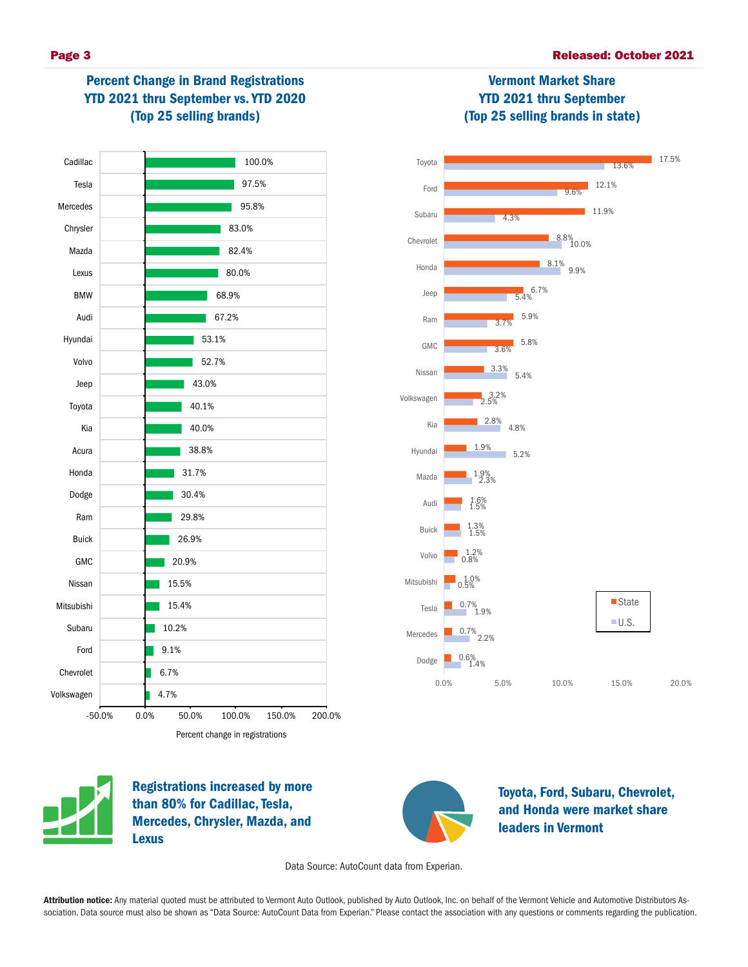# Percent Change in Brand Registrations YTD 2021 thru September vs. YTD 2020 (Top 25 selling brands)



# Vermont Market Share YTD 2021 thru September (Top 25 selling brands in state)





Registrations increased by more than 80% for Cadillac, Tesla, Mercedes, Chrysler, Mazda, and Lexus



Toyota, Ford, Subaru, Chevrolet, and Honda were market share leaders in Vermont

Data Source: AutoCount data from Experian.

Attribution notice: Any material quoted must be attributed to Vermont Auto Outlook, published by Auto Outlook, Inc. on behalf of the Vermont Vehicle and Automotive Distributors Association. Data source must also be shown as "Data Source: AutoCount Data from Experian." Please contact the association with any questions or comments regarding the publication.